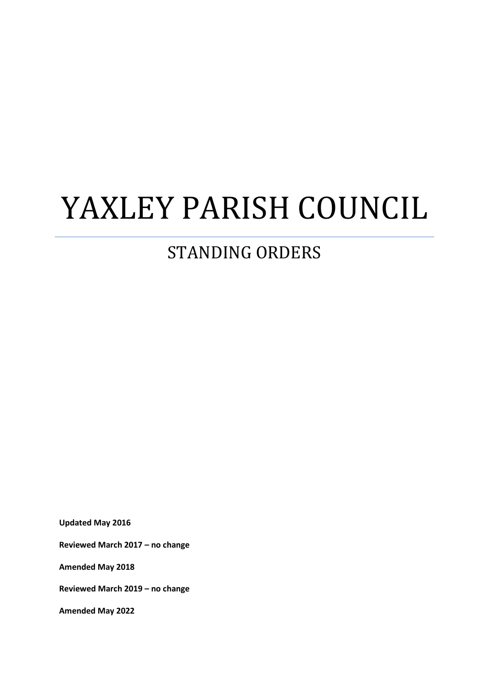# YAXLEY PARISH COUNCIL

#### STANDING ORDERS

**Updated May 2016**

**Reviewed March 2017 – no change**

**Amended May 2018**

**Reviewed March 2019 – no change**

**Amended May 2022**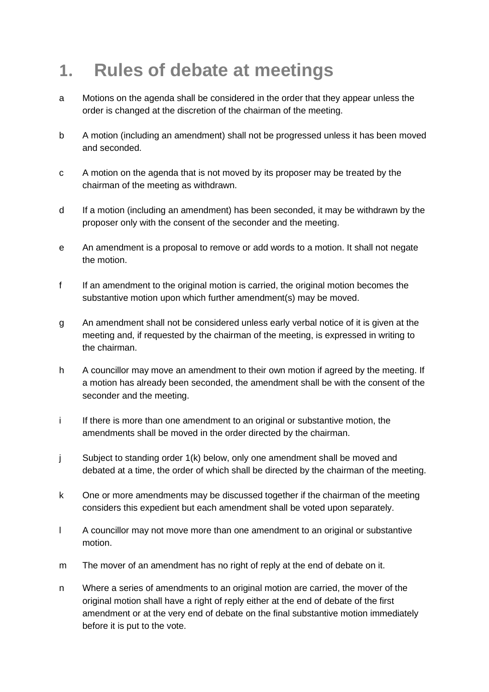## **1. Rules of debate at meetings**

- a Motions on the agenda shall be considered in the order that they appear unless the order is changed at the discretion of the chairman of the meeting.
- b A motion (including an amendment) shall not be progressed unless it has been moved and seconded.
- c A motion on the agenda that is not moved by its proposer may be treated by the chairman of the meeting as withdrawn.
- d If a motion (including an amendment) has been seconded, it may be withdrawn by the proposer only with the consent of the seconder and the meeting.
- e An amendment is a proposal to remove or add words to a motion. It shall not negate the motion.
- f If an amendment to the original motion is carried, the original motion becomes the substantive motion upon which further amendment(s) may be moved.
- g An amendment shall not be considered unless early verbal notice of it is given at the meeting and, if requested by the chairman of the meeting, is expressed in writing to the chairman.
- h A councillor may move an amendment to their own motion if agreed by the meeting. If a motion has already been seconded, the amendment shall be with the consent of the seconder and the meeting.
- i If there is more than one amendment to an original or substantive motion, the amendments shall be moved in the order directed by the chairman.
- j Subject to standing order 1(k) below, only one amendment shall be moved and debated at a time, the order of which shall be directed by the chairman of the meeting.
- k One or more amendments may be discussed together if the chairman of the meeting considers this expedient but each amendment shall be voted upon separately.
- l A councillor may not move more than one amendment to an original or substantive motion.
- m The mover of an amendment has no right of reply at the end of debate on it.
- n Where a series of amendments to an original motion are carried, the mover of the original motion shall have a right of reply either at the end of debate of the first amendment or at the very end of debate on the final substantive motion immediately before it is put to the vote.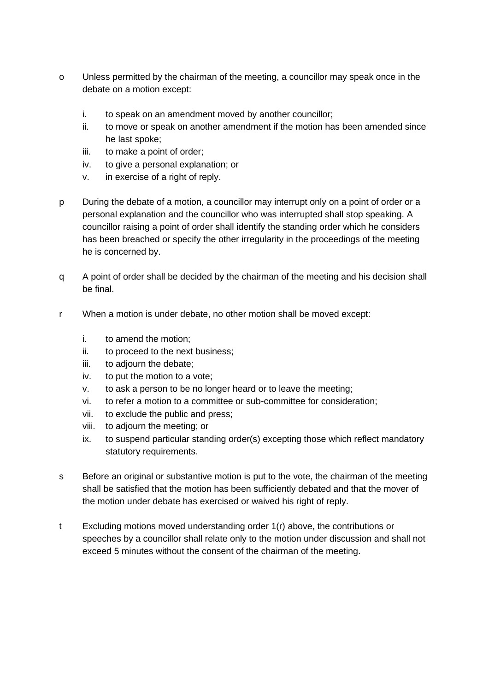- o Unless permitted by the chairman of the meeting, a councillor may speak once in the debate on a motion except:
	- i. to speak on an amendment moved by another councillor;
	- ii. to move or speak on another amendment if the motion has been amended since he last spoke;
	- iii. to make a point of order;
	- iv. to give a personal explanation; or
	- v. in exercise of a right of reply.
- p During the debate of a motion, a councillor may interrupt only on a point of order or a personal explanation and the councillor who was interrupted shall stop speaking. A councillor raising a point of order shall identify the standing order which he considers has been breached or specify the other irregularity in the proceedings of the meeting he is concerned by.
- q A point of order shall be decided by the chairman of the meeting and his decision shall be final.
- r When a motion is under debate, no other motion shall be moved except:
	- i. to amend the motion;
	- ii. to proceed to the next business;
	- iii. to adjourn the debate;
	- iv. to put the motion to a vote;
	- v. to ask a person to be no longer heard or to leave the meeting;
	- vi. to refer a motion to a committee or sub-committee for consideration;
	- vii. to exclude the public and press;
	- viii. to adjourn the meeting; or
	- ix. to suspend particular standing order(s) excepting those which reflect mandatory statutory requirements.
- s Before an original or substantive motion is put to the vote, the chairman of the meeting shall be satisfied that the motion has been sufficiently debated and that the mover of the motion under debate has exercised or waived his right of reply.
- t Excluding motions moved understanding order 1(r) above, the contributions or speeches by a councillor shall relate only to the motion under discussion and shall not exceed 5 minutes without the consent of the chairman of the meeting.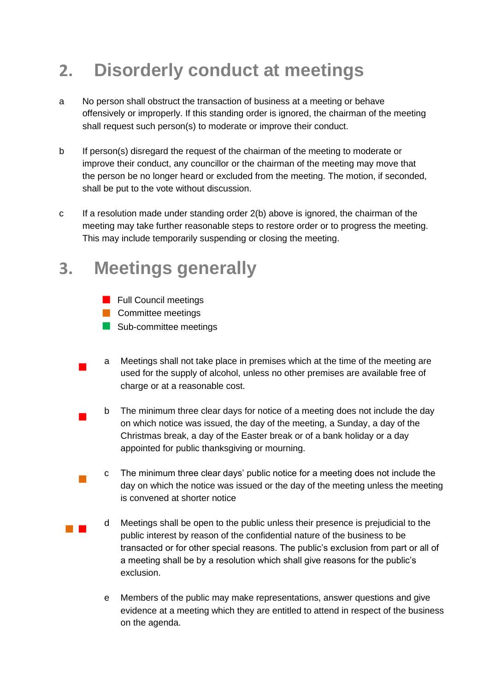## **2. Disorderly conduct at meetings**

- a No person shall obstruct the transaction of business at a meeting or behave offensively or improperly. If this standing order is ignored, the chairman of the meeting shall request such person(s) to moderate or improve their conduct.
- b If person(s) disregard the request of the chairman of the meeting to moderate or improve their conduct, any councillor or the chairman of the meeting may move that the person be no longer heard or excluded from the meeting. The motion, if seconded, shall be put to the vote without discussion.
- c If a resolution made under standing order 2(b) above is ignored, the chairman of the meeting may take further reasonable steps to restore order or to progress the meeting. This may include temporarily suspending or closing the meeting.

#### **3. Meetings generally**

- **Full Council meetings**
- **Committee meetings**

 $\mathcal{L}_{\mathcal{A}}$ 

- Sub-committee meetings
- $\blacksquare$ a Meetings shall not take place in premises which at the time of the meeting are used for the supply of alcohol, unless no other premises are available free of charge or at a reasonable cost.
- $\blacksquare$ b The minimum three clear days for notice of a meeting does not include the day on which notice was issued, the day of the meeting, a Sunday, a day of the Christmas break, a day of the Easter break or of a bank holiday or a day appointed for public thanksgiving or mourning.
	- c The minimum three clear days' public notice for a meeting does not include the day on which the notice was issued or the day of the meeting unless the meeting is convened at shorter notice
- $\mathcal{L}_{\mathcal{A}}$ d Meetings shall be open to the public unless their presence is prejudicial to the public interest by reason of the confidential nature of the business to be transacted or for other special reasons. The public's exclusion from part or all of a meeting shall be by a resolution which shall give reasons for the public's exclusion.
	- e Members of the public may make representations, answer questions and give evidence at a meeting which they are entitled to attend in respect of the business on the agenda.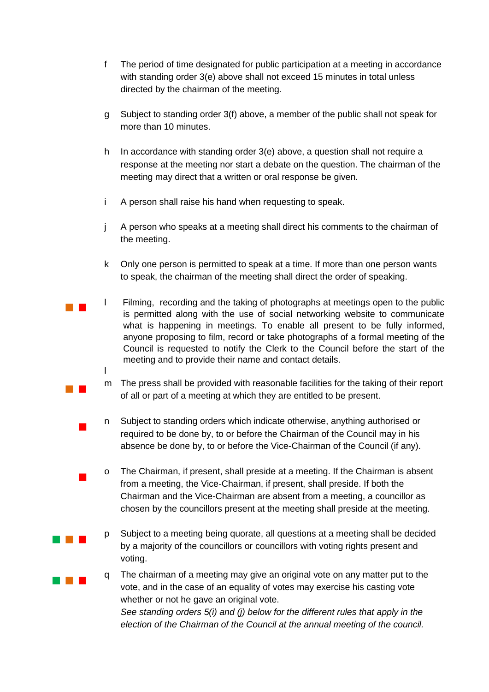- f The period of time designated for public participation at a meeting in accordance with standing order 3(e) above shall not exceed 15 minutes in total unless directed by the chairman of the meeting.
- g Subject to standing order 3(f) above, a member of the public shall not speak for more than 10 minutes.
- h In accordance with standing order 3(e) above, a question shall not require a response at the meeting nor start a debate on the question. The chairman of the meeting may direct that a written or oral response be given.
- i A person shall raise his hand when requesting to speak.

 $\mathcal{L}_{\mathcal{A}}$ 

 $\blacksquare$ 

 $\blacksquare$ 

- j A person who speaks at a meeting shall direct his comments to the chairman of the meeting.
- k Only one person is permitted to speak at a time. If more than one person wants to speak, the chairman of the meeting shall direct the order of speaking.
- l Filming, recording and the taking of photographs at meetings open to the public is permitted along with the use of social networking website to communicate what is happening in meetings. To enable all present to be fully informed, anyone proposing to film, record or take photographs of a formal meeting of the Council is requested to notify the Clerk to the Council before the start of the meeting and to provide their name and contact details. l
	- m The press shall be provided with reasonable facilities for the taking of their report of all or part of a meeting at which they are entitled to be present.
	- n Subject to standing orders which indicate otherwise, anything authorised or required to be done by, to or before the Chairman of the Council may in his absence be done by, to or before the Vice-Chairman of the Council (if any).
	- o The Chairman, if present, shall preside at a meeting. If the Chairman is absent from a meeting, the Vice-Chairman, if present, shall preside. If both the Chairman and the Vice-Chairman are absent from a meeting, a councillor as chosen by the councillors present at the meeting shall preside at the meeting.
- and the state p Subject to a meeting being quorate, all questions at a meeting shall be decided by a majority of the councillors or councillors with voting rights present and voting.
- and the first q The chairman of a meeting may give an original vote on any matter put to the vote, and in the case of an equality of votes may exercise his casting vote whether or not he gave an original vote. *See standing orders 5(i) and (j) below for the different rules that apply in the election of the Chairman of the Council at the annual meeting of the council.*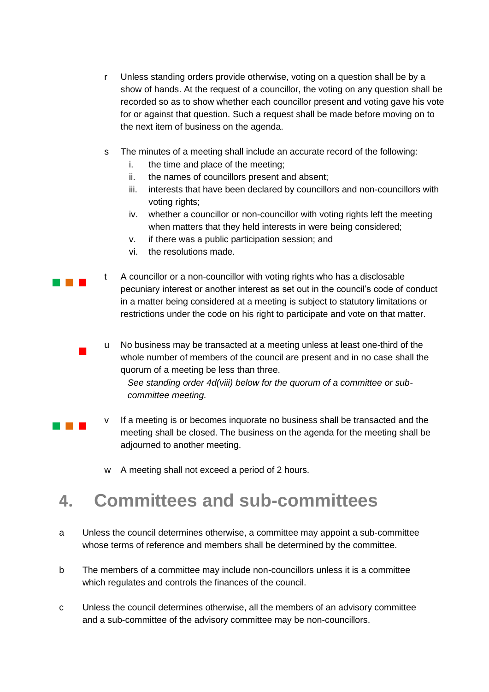- r Unless standing orders provide otherwise, voting on a question shall be by a show of hands. At the request of a councillor, the voting on any question shall be recorded so as to show whether each councillor present and voting gave his vote for or against that question. Such a request shall be made before moving on to the next item of business on the agenda.
- s The minutes of a meeting shall include an accurate record of the following:
	- i. the time and place of the meeting;
	- ii. the names of councillors present and absent;
	- iii. interests that have been declared by councillors and non-councillors with voting rights;
	- iv. whether a councillor or non-councillor with voting rights left the meeting when matters that they held interests in were being considered;
	- v. if there was a public participation session; and
	- vi. the resolutions made.

**Contract Contract** t A councillor or a non-councillor with voting rights who has a disclosable pecuniary interest or another interest as set out in the council's code of conduct in a matter being considered at a meeting is subject to statutory limitations or restrictions under the code on his right to participate and vote on that matter.

> u No business may be transacted at a meeting unless at least one-third of the whole number of members of the council are present and in no case shall the quorum of a meeting be less than three. *See standing order 4d(viii) below for the quorum of a committee or sub-*

*committee meeting.* 

 $\mathcal{L}_{\mathcal{A}}$ 

- a kacamatan ing Kabupatén Kabupatén v If a meeting is or becomes inquorate no business shall be transacted and the meeting shall be closed. The business on the agenda for the meeting shall be adjourned to another meeting.
	- w A meeting shall not exceed a period of 2 hours.

#### **4. Committees and sub-committees**

- a Unless the council determines otherwise, a committee may appoint a sub-committee whose terms of reference and members shall be determined by the committee.
- b The members of a committee may include non-councillors unless it is a committee which regulates and controls the finances of the council.
- c Unless the council determines otherwise, all the members of an advisory committee and a sub-committee of the advisory committee may be non-councillors.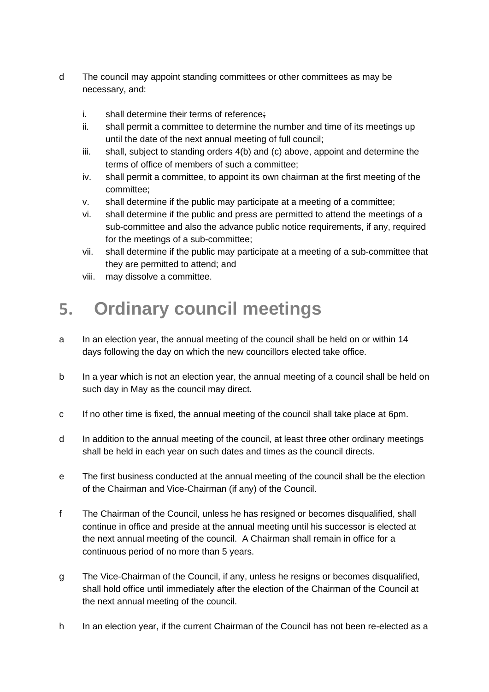- d The council may appoint standing committees or other committees as may be necessary, and:
	- i. shall determine their terms of reference;
	- ii. shall permit a committee to determine the number and time of its meetings up until the date of the next annual meeting of full council;
	- iii. shall, subject to standing orders 4(b) and (c) above, appoint and determine the terms of office of members of such a committee;
	- iv. shall permit a committee, to appoint its own chairman at the first meeting of the committee;
	- v. shall determine if the public may participate at a meeting of a committee;
	- vi. shall determine if the public and press are permitted to attend the meetings of a sub-committee and also the advance public notice requirements, if any, required for the meetings of a sub-committee;
	- vii. shall determine if the public may participate at a meeting of a sub-committee that they are permitted to attend; and
	- viii. may dissolve a committee.

## **5. Ordinary council meetings**

- a In an election year, the annual meeting of the council shall be held on or within 14 days following the day on which the new councillors elected take office.
- b In a year which is not an election year, the annual meeting of a council shall be held on such day in May as the council may direct.
- c If no other time is fixed, the annual meeting of the council shall take place at 6pm.
- d In addition to the annual meeting of the council, at least three other ordinary meetings shall be held in each year on such dates and times as the council directs.
- e The first business conducted at the annual meeting of the council shall be the election of the Chairman and Vice-Chairman (if any) of the Council.
- f The Chairman of the Council, unless he has resigned or becomes disqualified, shall continue in office and preside at the annual meeting until his successor is elected at the next annual meeting of the council. A Chairman shall remain in office for a continuous period of no more than 5 years.
- g The Vice-Chairman of the Council, if any, unless he resigns or becomes disqualified, shall hold office until immediately after the election of the Chairman of the Council at the next annual meeting of the council.
- h In an election year, if the current Chairman of the Council has not been re-elected as a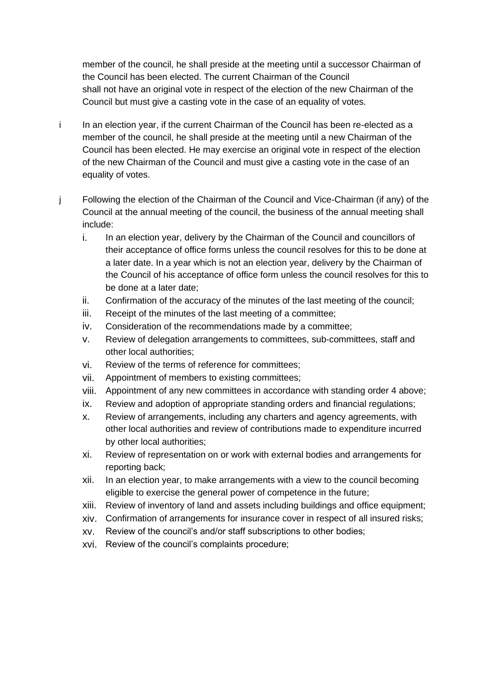member of the council, he shall preside at the meeting until a successor Chairman of the Council has been elected. The current Chairman of the Council shall not have an original vote in respect of the election of the new Chairman of the Council but must give a casting vote in the case of an equality of votes.

- i In an election year, if the current Chairman of the Council has been re-elected as a member of the council, he shall preside at the meeting until a new Chairman of the Council has been elected. He may exercise an original vote in respect of the election of the new Chairman of the Council and must give a casting vote in the case of an equality of votes.
- j Following the election of the Chairman of the Council and Vice-Chairman (if any) of the Council at the annual meeting of the council, the business of the annual meeting shall include:
	- i. In an election year, delivery by the Chairman of the Council and councillors of their acceptance of office forms unless the council resolves for this to be done at a later date. In a year which is not an election year, delivery by the Chairman of the Council of his acceptance of office form unless the council resolves for this to be done at a later date;
	- ii. Confirmation of the accuracy of the minutes of the last meeting of the council;
	- iii. Receipt of the minutes of the last meeting of a committee;
	- iv. Consideration of the recommendations made by a committee;
	- v. Review of delegation arrangements to committees, sub-committees, staff and other local authorities;
	- vi. Review of the terms of reference for committees;
	- vii. Appointment of members to existing committees;
	- viii. Appointment of any new committees in accordance with standing order 4 above;
	- ix. Review and adoption of appropriate standing orders and financial regulations;
	- x. Review of arrangements, including any charters and agency agreements, with other local authorities and review of contributions made to expenditure incurred by other local authorities;
	- xi. Review of representation on or work with external bodies and arrangements for reporting back;
	- xii. In an election year, to make arrangements with a view to the council becoming eligible to exercise the general power of competence in the future;
	- xiii. Review of inventory of land and assets including buildings and office equipment;
	- xiv. Confirmation of arrangements for insurance cover in respect of all insured risks;
	- xv. Review of the council's and/or staff subscriptions to other bodies;
	- xvi. Review of the council's complaints procedure;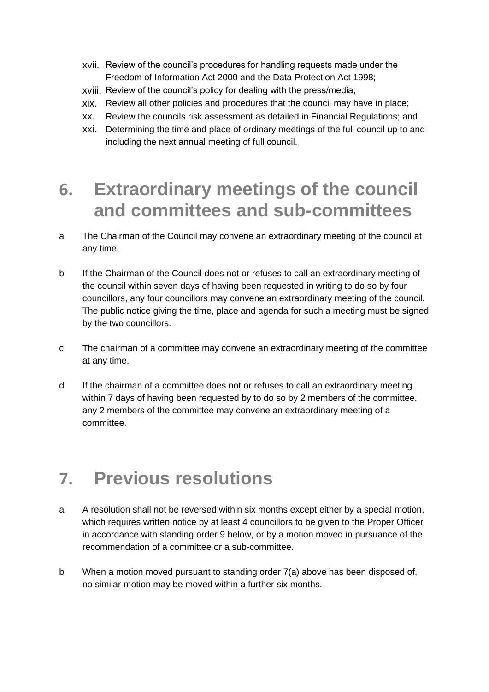- xvii. Review of the council's procedures for handling requests made under the Freedom of Information Act 2000 and the Data Protection Act 1998;
- xviii. Review of the council's policy for dealing with the press/media;
- xix. Review all other policies and procedures that the council may have in place;
- xx. Review the councils risk assessment as detailed in Financial Regulations; and
- xxi. Determining the time and place of ordinary meetings of the full council up to and including the next annual meeting of full council.

#### **6. Extraordinary meetings of the council and committees and sub-committees**

- a The Chairman of the Council may convene an extraordinary meeting of the council at any time.
- b If the Chairman of the Council does not or refuses to call an extraordinary meeting of the council within seven days of having been requested in writing to do so by four councillors, any four councillors may convene an extraordinary meeting of the council. The public notice giving the time, place and agenda for such a meeting must be signed by the two councillors.
- c The chairman of a committee may convene an extraordinary meeting of the committee at any time.
- d If the chairman of a committee does not or refuses to call an extraordinary meeting within 7 days of having been requested by to do so by 2 members of the committee, any 2 members of the committee may convene an extraordinary meeting of a committee.

#### **7. Previous resolutions**

- a A resolution shall not be reversed within six months except either by a special motion, which requires written notice by at least 4 councillors to be given to the Proper Officer in accordance with standing order 9 below, or by a motion moved in pursuance of the recommendation of a committee or a sub-committee.
- b When a motion moved pursuant to standing order 7(a) above has been disposed of, no similar motion may be moved within a further six months.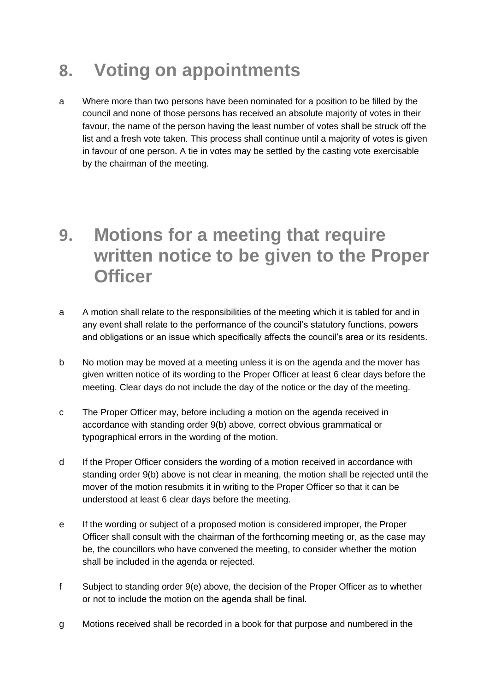#### **8. Voting on appointments**

a Where more than two persons have been nominated for a position to be filled by the council and none of those persons has received an absolute majority of votes in their favour, the name of the person having the least number of votes shall be struck off the list and a fresh vote taken. This process shall continue until a majority of votes is given in favour of one person. A tie in votes may be settled by the casting vote exercisable by the chairman of the meeting.

#### **9. Motions for a meeting that require written notice to be given to the Proper Officer**

- a A motion shall relate to the responsibilities of the meeting which it is tabled for and in any event shall relate to the performance of the council's statutory functions, powers and obligations or an issue which specifically affects the council's area or its residents.
- b No motion may be moved at a meeting unless it is on the agenda and the mover has given written notice of its wording to the Proper Officer at least 6 clear days before the meeting. Clear days do not include the day of the notice or the day of the meeting.
- c The Proper Officer may, before including a motion on the agenda received in accordance with standing order 9(b) above, correct obvious grammatical or typographical errors in the wording of the motion.
- d If the Proper Officer considers the wording of a motion received in accordance with standing order 9(b) above is not clear in meaning, the motion shall be rejected until the mover of the motion resubmits it in writing to the Proper Officer so that it can be understood at least 6 clear days before the meeting.
- e If the wording or subject of a proposed motion is considered improper, the Proper Officer shall consult with the chairman of the forthcoming meeting or, as the case may be, the councillors who have convened the meeting, to consider whether the motion shall be included in the agenda or rejected.
- f Subject to standing order 9(e) above, the decision of the Proper Officer as to whether or not to include the motion on the agenda shall be final.
- g Motions received shall be recorded in a book for that purpose and numbered in the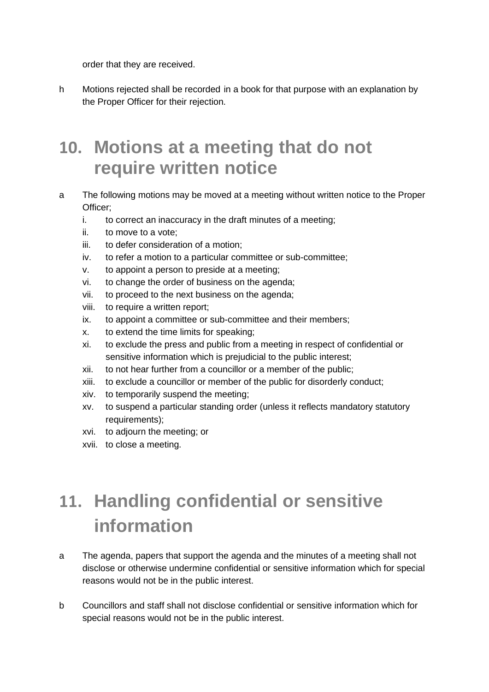order that they are received.

h Motions rejected shall be recorded in a book for that purpose with an explanation by the Proper Officer for their rejection.

#### **10. Motions at a meeting that do not require written notice**

- a The following motions may be moved at a meeting without written notice to the Proper Officer;
	- i. to correct an inaccuracy in the draft minutes of a meeting;
	- ii. to move to a vote;
	- iii. to defer consideration of a motion;
	- iv. to refer a motion to a particular committee or sub-committee;
	- v. to appoint a person to preside at a meeting;
	- vi. to change the order of business on the agenda;
	- vii. to proceed to the next business on the agenda;
	- viii. to require a written report;
	- ix. to appoint a committee or sub-committee and their members;
	- x. to extend the time limits for speaking;
	- xi. to exclude the press and public from a meeting in respect of confidential or sensitive information which is prejudicial to the public interest;
	- xii. to not hear further from a councillor or a member of the public;
	- xiii. to exclude a councillor or member of the public for disorderly conduct;
	- xiv. to temporarily suspend the meeting;
	- xv. to suspend a particular standing order (unless it reflects mandatory statutory requirements):
	- xvi. to adjourn the meeting; or
	- xvii. to close a meeting.

# **11. Handling confidential or sensitive information**

- a The agenda, papers that support the agenda and the minutes of a meeting shall not disclose or otherwise undermine confidential or sensitive information which for special reasons would not be in the public interest.
- b Councillors and staff shall not disclose confidential or sensitive information which for special reasons would not be in the public interest.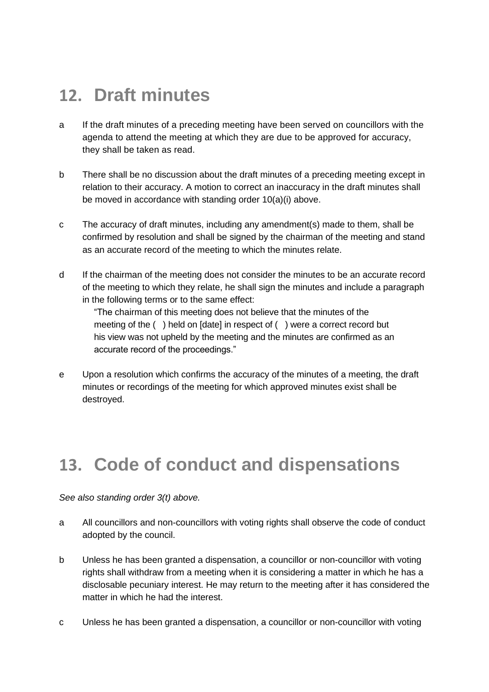#### **12. Draft minutes**

- a If the draft minutes of a preceding meeting have been served on councillors with the agenda to attend the meeting at which they are due to be approved for accuracy, they shall be taken as read.
- b There shall be no discussion about the draft minutes of a preceding meeting except in relation to their accuracy. A motion to correct an inaccuracy in the draft minutes shall be moved in accordance with standing order 10(a)(i) above.
- c The accuracy of draft minutes, including any amendment(s) made to them, shall be confirmed by resolution and shall be signed by the chairman of the meeting and stand as an accurate record of the meeting to which the minutes relate.
- d If the chairman of the meeting does not consider the minutes to be an accurate record of the meeting to which they relate, he shall sign the minutes and include a paragraph in the following terms or to the same effect:

"The chairman of this meeting does not believe that the minutes of the meeting of the ( ) held on [date] in respect of ( ) were a correct record but his view was not upheld by the meeting and the minutes are confirmed as an accurate record of the proceedings."

e Upon a resolution which confirms the accuracy of the minutes of a meeting, the draft minutes or recordings of the meeting for which approved minutes exist shall be destroyed.

#### **13. Code of conduct and dispensations**

*See also standing order 3(t) above.*

- a All councillors and non-councillors with voting rights shall observe the code of conduct adopted by the council.
- b Unless he has been granted a dispensation, a councillor or non-councillor with voting rights shall withdraw from a meeting when it is considering a matter in which he has a disclosable pecuniary interest. He may return to the meeting after it has considered the matter in which he had the interest.
- c Unless he has been granted a dispensation, a councillor or non-councillor with voting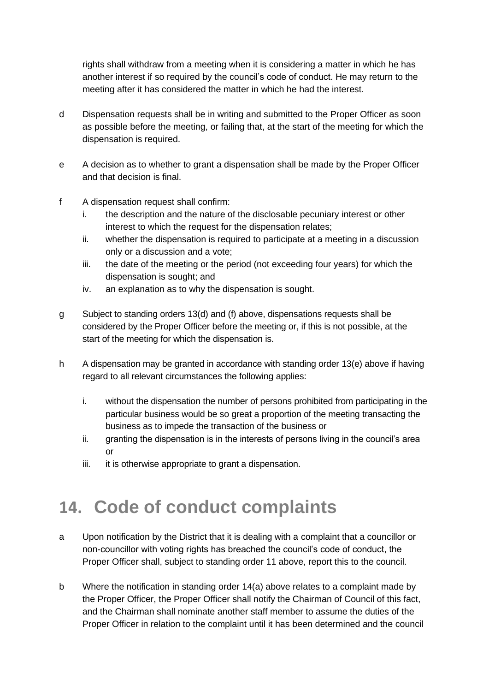rights shall withdraw from a meeting when it is considering a matter in which he has another interest if so required by the council's code of conduct. He may return to the meeting after it has considered the matter in which he had the interest.

- d Dispensation requests shall be in writing and submitted to the Proper Officer as soon as possible before the meeting, or failing that, at the start of the meeting for which the dispensation is required.
- e A decision as to whether to grant a dispensation shall be made by the Proper Officer and that decision is final.
- f A dispensation request shall confirm:
	- i. the description and the nature of the disclosable pecuniary interest or other interest to which the request for the dispensation relates;
	- ii. whether the dispensation is required to participate at a meeting in a discussion only or a discussion and a vote;
	- iii. the date of the meeting or the period (not exceeding four years) for which the dispensation is sought; and
	- iv. an explanation as to why the dispensation is sought.
- g Subject to standing orders 13(d) and (f) above, dispensations requests shall be considered by the Proper Officer before the meeting or, if this is not possible, at the start of the meeting for which the dispensation is.
- h A dispensation may be granted in accordance with standing order 13(e) above if having regard to all relevant circumstances the following applies:
	- i. without the dispensation the number of persons prohibited from participating in the particular business would be so great a proportion of the meeting transacting the business as to impede the transaction of the business or
	- ii. granting the dispensation is in the interests of persons living in the council's area or
	- iii. it is otherwise appropriate to grant a dispensation.

## **14. Code of conduct complaints**

- a Upon notification by the District that it is dealing with a complaint that a councillor or non-councillor with voting rights has breached the council's code of conduct, the Proper Officer shall, subject to standing order 11 above, report this to the council.
- b Where the notification in standing order 14(a) above relates to a complaint made by the Proper Officer, the Proper Officer shall notify the Chairman of Council of this fact, and the Chairman shall nominate another staff member to assume the duties of the Proper Officer in relation to the complaint until it has been determined and the council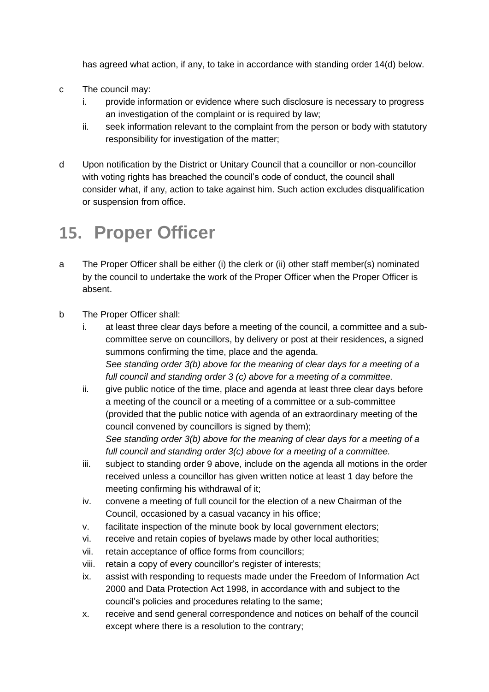has agreed what action, if any, to take in accordance with standing order 14(d) below.

- c The council may:
	- i. provide information or evidence where such disclosure is necessary to progress an investigation of the complaint or is required by law;
	- ii. seek information relevant to the complaint from the person or body with statutory responsibility for investigation of the matter;
- d Upon notification by the District or Unitary Council that a councillor or non-councillor with voting rights has breached the council's code of conduct, the council shall consider what, if any, action to take against him. Such action excludes disqualification or suspension from office.

#### **15. Proper Officer**

- a The Proper Officer shall be either (i) the clerk or (ii) other staff member(s) nominated by the council to undertake the work of the Proper Officer when the Proper Officer is absent.
- b The Proper Officer shall:
	- i. at least three clear days before a meeting of the council, a committee and a subcommittee serve on councillors, by delivery or post at their residences, a signed summons confirming the time, place and the agenda. *See standing order 3(b) above for the meaning of clear days for a meeting of a full council and standing order 3 (c) above for a meeting of a committee.*
	- ii. give public notice of the time, place and agenda at least three clear days before a meeting of the council or a meeting of a committee or a sub-committee (provided that the public notice with agenda of an extraordinary meeting of the council convened by councillors is signed by them); *See standing order 3(b) above for the meaning of clear days for a meeting of a full council and standing order 3(c) above for a meeting of a committee.*
	- iii. subject to standing order 9 above, include on the agenda all motions in the order received unless a councillor has given written notice at least 1 day before the meeting confirming his withdrawal of it;
	- iv. convene a meeting of full council for the election of a new Chairman of the Council, occasioned by a casual vacancy in his office;
	- v. facilitate inspection of the minute book by local government electors;
	- vi. receive and retain copies of byelaws made by other local authorities;
	- vii. retain acceptance of office forms from councillors;
	- viii. retain a copy of every councillor's register of interests;
	- ix. assist with responding to requests made under the Freedom of Information Act 2000 and Data Protection Act 1998, in accordance with and subject to the council's policies and procedures relating to the same;
	- x. receive and send general correspondence and notices on behalf of the council except where there is a resolution to the contrary;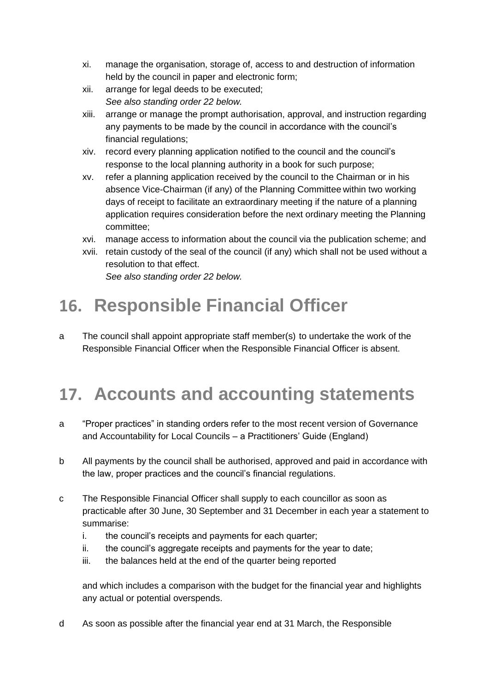- xi. manage the organisation, storage of, access to and destruction of information held by the council in paper and electronic form;
- xii. arrange for legal deeds to be executed; *See also standing order 22 below.*
- xiii. arrange or manage the prompt authorisation, approval, and instruction regarding any payments to be made by the council in accordance with the council's financial regulations;
- xiv. record every planning application notified to the council and the council's response to the local planning authority in a book for such purpose;
- xv. refer a planning application received by the council to the Chairman or in his absence Vice-Chairman (if any) of the Planning Committee within two working days of receipt to facilitate an extraordinary meeting if the nature of a planning application requires consideration before the next ordinary meeting the Planning committee;
- xvi. manage access to information about the council via the publication scheme; and
- xvii. retain custody of the seal of the council (if any) which shall not be used without a resolution to that effect. *See also standing order 22 below.*

## **16. Responsible Financial Officer**

a The council shall appoint appropriate staff member(s) to undertake the work of the Responsible Financial Officer when the Responsible Financial Officer is absent.

## **17. Accounts and accounting statements**

- a "Proper practices" in standing orders refer to the most recent version of Governance and Accountability for Local Councils – a Practitioners' Guide (England)
- b All payments by the council shall be authorised, approved and paid in accordance with the law, proper practices and the council's financial regulations.
- c The Responsible Financial Officer shall supply to each councillor as soon as practicable after 30 June, 30 September and 31 December in each year a statement to summarise:
	- i. the council's receipts and payments for each quarter;
	- ii. the council's aggregate receipts and payments for the year to date;
	- iii. the balances held at the end of the quarter being reported

and which includes a comparison with the budget for the financial year and highlights any actual or potential overspends.

d As soon as possible after the financial year end at 31 March, the Responsible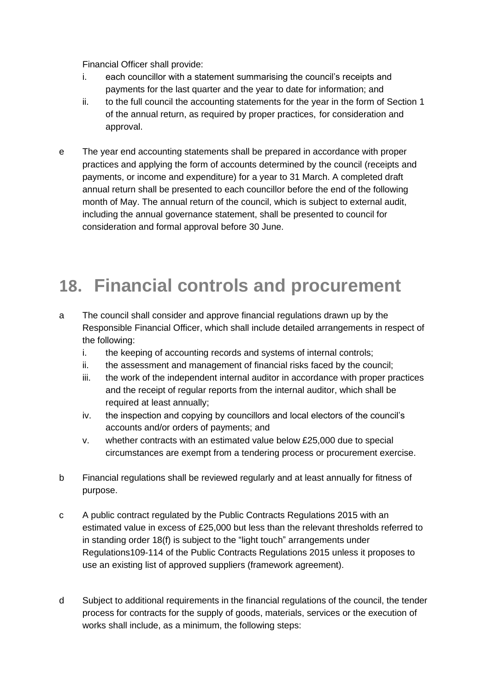Financial Officer shall provide:

- i. each councillor with a statement summarising the council's receipts and payments for the last quarter and the year to date for information; and
- ii. to the full council the accounting statements for the year in the form of Section 1 of the annual return, as required by proper practices, for consideration and approval.
- e The year end accounting statements shall be prepared in accordance with proper practices and applying the form of accounts determined by the council (receipts and payments, or income and expenditure) for a year to 31 March. A completed draft annual return shall be presented to each councillor before the end of the following month of May. The annual return of the council, which is subject to external audit, including the annual governance statement, shall be presented to council for consideration and formal approval before 30 June.

## **18. Financial controls and procurement**

- a The council shall consider and approve financial regulations drawn up by the Responsible Financial Officer, which shall include detailed arrangements in respect of the following:
	- i. the keeping of accounting records and systems of internal controls;
	- ii. the assessment and management of financial risks faced by the council;
	- iii. the work of the independent internal auditor in accordance with proper practices and the receipt of regular reports from the internal auditor, which shall be required at least annually;
	- iv. the inspection and copying by councillors and local electors of the council's accounts and/or orders of payments; and
	- v. whether contracts with an estimated value below £25,000 due to special circumstances are exempt from a tendering process or procurement exercise.
- b Financial regulations shall be reviewed regularly and at least annually for fitness of purpose.
- c A public contract regulated by the Public Contracts Regulations 2015 with an estimated value in excess of £25,000 but less than the relevant thresholds referred to in standing order 18(f) is subject to the "light touch" arrangements under Regulations109-114 of the Public Contracts Regulations 2015 unless it proposes to use an existing list of approved suppliers (framework agreement).
- d Subject to additional requirements in the financial regulations of the council, the tender process for contracts for the supply of goods, materials, services or the execution of works shall include, as a minimum, the following steps: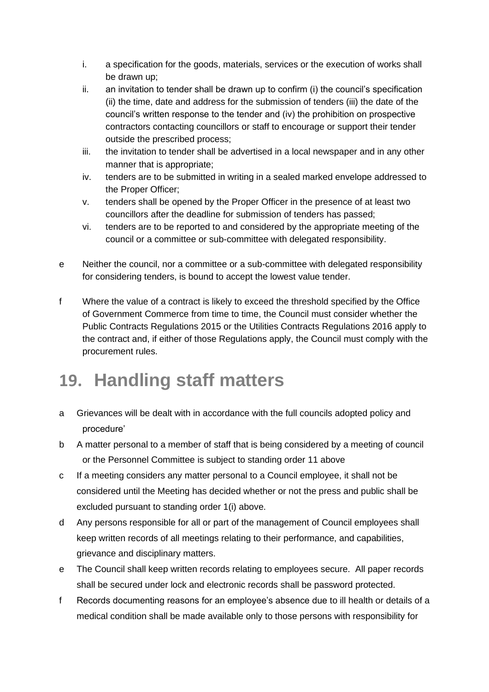- i. a specification for the goods, materials, services or the execution of works shall be drawn up;
- ii. an invitation to tender shall be drawn up to confirm (i) the council's specification (ii) the time, date and address for the submission of tenders (iii) the date of the council's written response to the tender and (iv) the prohibition on prospective contractors contacting councillors or staff to encourage or support their tender outside the prescribed process;
- iii. the invitation to tender shall be advertised in a local newspaper and in any other manner that is appropriate;
- iv. tenders are to be submitted in writing in a sealed marked envelope addressed to the Proper Officer;
- v. tenders shall be opened by the Proper Officer in the presence of at least two councillors after the deadline for submission of tenders has passed;
- vi. tenders are to be reported to and considered by the appropriate meeting of the council or a committee or sub-committee with delegated responsibility.
- e Neither the council, nor a committee or a sub-committee with delegated responsibility for considering tenders, is bound to accept the lowest value tender.
- f Where the value of a contract is likely to exceed the threshold specified by the Office of Government Commerce from time to time, the Council must consider whether the Public Contracts Regulations 2015 or the Utilities Contracts Regulations 2016 apply to the contract and, if either of those Regulations apply, the Council must comply with the procurement rules.

## **19. Handling staff matters**

- a Grievances will be dealt with in accordance with the full councils adopted policy and procedure'
- b A matter personal to a member of staff that is being considered by a meeting of council or the Personnel Committee is subject to standing order 11 above
- c If a meeting considers any matter personal to a Council employee, it shall not be considered until the Meeting has decided whether or not the press and public shall be excluded pursuant to standing order 1(i) above.
- d Any persons responsible for all or part of the management of Council employees shall keep written records of all meetings relating to their performance, and capabilities, grievance and disciplinary matters.
- e The Council shall keep written records relating to employees secure. All paper records shall be secured under lock and electronic records shall be password protected.
- f Records documenting reasons for an employee's absence due to ill health or details of a medical condition shall be made available only to those persons with responsibility for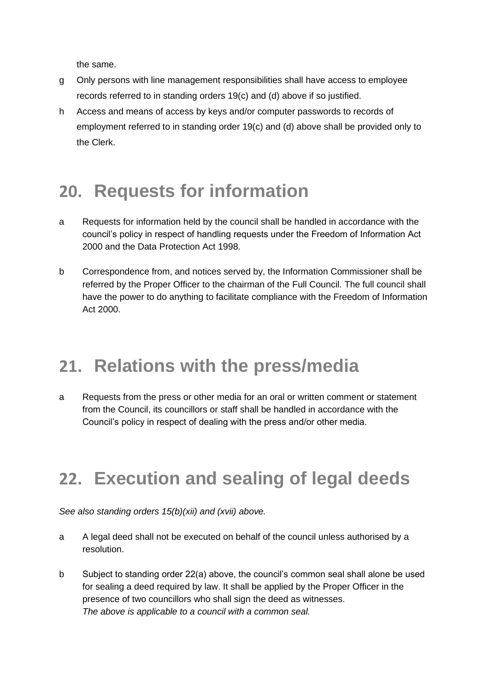the same.

- g Only persons with line management responsibilities shall have access to employee records referred to in standing orders 19(c) and (d) above if so justified.
- h Access and means of access by keys and/or computer passwords to records of employment referred to in standing order 19(c) and (d) above shall be provided only to the Clerk.

## **20. Requests for information**

- a Requests for information held by the council shall be handled in accordance with the council's policy in respect of handling requests under the Freedom of Information Act 2000 and the Data Protection Act 1998.
- b Correspondence from, and notices served by, the Information Commissioner shall be referred by the Proper Officer to the chairman of the Full Council. The full council shall have the power to do anything to facilitate compliance with the Freedom of Information Act 2000.

#### **21. Relations with the press/media**

a Requests from the press or other media for an oral or written comment or statement from the Council, its councillors or staff shall be handled in accordance with the Council's policy in respect of dealing with the press and/or other media.

## **22. Execution and sealing of legal deeds**

*See also standing orders 15(b)(xii) and (xvii) above.*

- a A legal deed shall not be executed on behalf of the council unless authorised by a resolution.
- b Subject to standing order 22(a) above, the council's common seal shall alone be used for sealing a deed required by law. It shall be applied by the Proper Officer in the presence of two councillors who shall sign the deed as witnesses. *The above is applicable to a council with a common seal.*